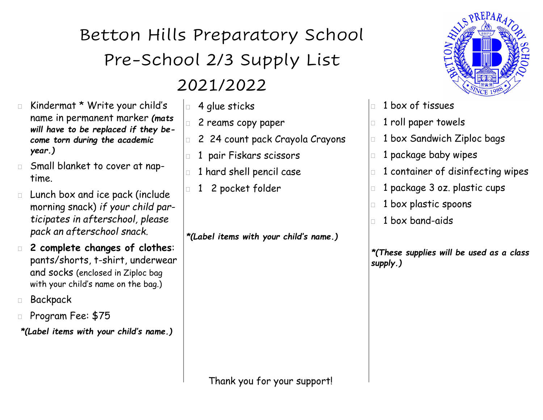### Betton Hills Preparatory School Pre-School 2/3 Supply List 2021/2022

- Kindermat \* Write your child's name in permanent marker *(mats will have to be replaced if they become torn during the academic year.)*
- Small blanket to cover at naptime.
- Lunch box and ice pack (include morning snack) *if your child participates in afterschool, please pack an afterschool snack.*
- **2 complete changes of clothes**: pants/shorts, t-shirt, underwear and socks (enclosed in Ziploc bag with your child's name on the bag.)
- Backpack
- Program Fee: \$75
- *\*(Label items with your child's name.)*
- **4** glue sticks
	- 2 reams copy paper
- 2 24 count pack Crayola Crayons
- 1 pair Fiskars scissors
- 1 hard shell pencil case
- 1 2 pocket folder

*\*(Label items with your child's name.)*



- 1 box of tissues
- 1 roll paper towels
- 1 box Sandwich Ziploc bags
- $\Box$  1 package baby wipes
- 1 container of disinfecting wipes
- 1 package 3 oz. plastic cups
- 1 box plastic spoons
- 1 box band-aids

*\*(These supplies will be used as a class supply.)*

Thank you for your support!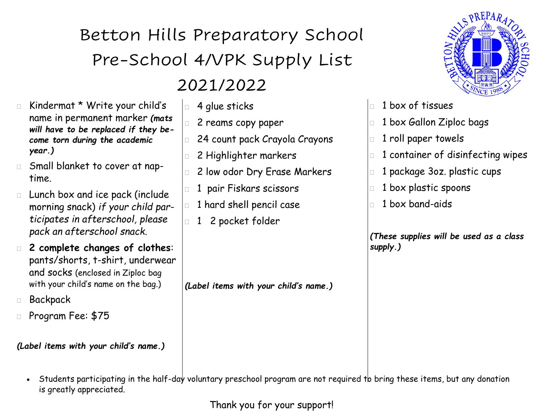# Betton Hills Preparatory School Pre-School 4/VPK Supply List

#### 2021/2022

2 reams copy paper

 $\vert$  4 glue sticks

- Kindermat \* Write your child's name in permanent marker *(mats will have to be replaced if they become torn during the academic year.)*
- Small blanket to cover at naptime.
- Lunch box and ice pack (include morning snack) *if your child participates in afterschool, please pack an afterschool snack.*
- **2 complete changes of clothes**: pants/shorts, t-shirt, underwear and socks (enclosed in Ziploc bag with your child's name on the bag.)
- Backpack
- Program Fee: \$75

*(Label items with your child's name.)*

- 24 count pack Crayola Crayons 2 Highlighter markers 2 low odor Dry Erase Markers 1 pair Fiskars scissors 1 hard shell pencil case 1 2 pocket folder
	- *(Label items with your child's name.)*



- 1 box of tissues
- **1 box Gallon Ziploc bags**
- 1 roll paper towels
- 1 container of disinfecting wipes
- 1 package 3oz. plastic cups
- 1 box plastic spoons
- 1 box band-aids

*(These supplies will be used as a class supply.)*

Students participating in the half-day voluntary preschool program are not required to bring these items, but any donation is greatly appreciated.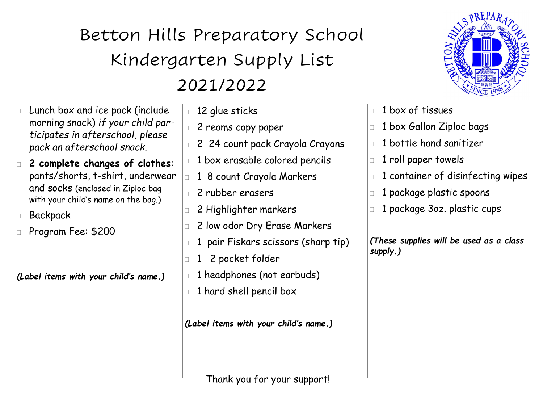## Betton Hills Preparatory School Kindergarten Supply List 2021/2022

- Lunch box and ice pack (include morning snack) *if your child participates in afterschool, please pack an afterschool snack.*
- **2 complete changes of clothes**: pants/shorts, t-shirt, underwear and socks (enclosed in Ziploc bag with your child's name on the bag.)
- Backpack
- Program Fee: \$200

*(Label items with your child's name.)*

- $\Box$  12 glue sticks 2 reams copy paper 2 24 count pack Crayola Crayons 1 box erasable colored pencils
	- **1 8 count Crayola Markers**
	- 2 rubber erasers
	- 2 Highlighter markers
	- 2 low odor Dry Erase Markers
	- 1 pair Fiskars scissors (sharp tip)
	- 1 2 pocket folder
	- 1 headphones (not earbuds)
	- $\Box$  1 hard shell pencil box

*(Label items with your child's name.)*

Thank you for your support!



- 1 box of tissues
- 1 box Gallon Ziploc bags
- $\Box$  1 bottle hand sanitizer
- **1** roll paper towels
- 1 container of disinfecting wipes
- **1 package plastic spoons**
- 1 package 3oz. plastic cups

*(These supplies will be used as a class supply.)*